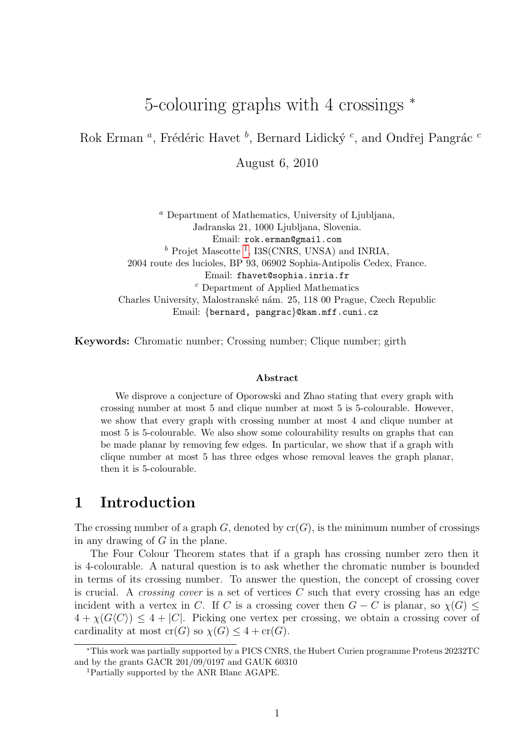# 5-colouring graphs with 4 crossings  $*$

Rok Erman<sup>*a*</sup>, Frédéric Havet<sup>*b*</sup>, Bernard Lidický<sup>*c*</sup>, and Ondřej Pangrác<sup>*c*</sup>

August 6, 2010

<sup>a</sup> Department of Mathematics, University of Ljubljana, Jadranska 21, 1000 Ljubljana, Slovenia. Email: rok.erman@gmail.com  $^b$  Projet Mascotte<sup>[1](#page-0-0)</sup>, I3S(CNRS, UNSA) and INRIA, 2004 route des lucioles, BP 93, 06902 Sophia-Antipolis Cedex, France. Email: fhavet@sophia.inria.fr <sup>c</sup> Department of Applied Mathematics Charles University, Malostranské nám. 25, 118 00 Prague, Czech Republic Email: {bernard, pangrac}@kam.mff.cuni.cz

Keywords: Chromatic number; Crossing number; Clique number; girth

#### Abstract

We disprove a conjecture of Oporowski and Zhao stating that every graph with crossing number at most 5 and clique number at most 5 is 5-colourable. However, we show that every graph with crossing number at most 4 and clique number at most 5 is 5-colourable. We also show some colourability results on graphs that can be made planar by removing few edges. In particular, we show that if a graph with clique number at most 5 has three edges whose removal leaves the graph planar, then it is 5-colourable.

## 1 Introduction

The crossing number of a graph G, denoted by  $cr(G)$ , is the minimum number of crossings in any drawing of G in the plane.

The Four Colour Theorem states that if a graph has crossing number zero then it is 4-colourable. A natural question is to ask whether the chromatic number is bounded in terms of its crossing number. To answer the question, the concept of crossing cover is crucial. A *crossing cover* is a set of vertices  $C$  such that every crossing has an edge incident with a vertex in C. If C is a crossing cover then  $G - C$  is planar, so  $\chi(G)$  <  $4 + \chi(G\langle C \rangle) \leq 4 + |C|$ . Picking one vertex per crossing, we obtain a crossing cover of cardinality at most  $cr(G)$  so  $\chi(G) \leq 4 + cr(G)$ .

<sup>∗</sup>This work was partially supported by a PICS CNRS, the Hubert Curien programme Proteus 20232TC and by the grants GACR 201/09/0197 and GAUK 60310

<span id="page-0-0"></span><sup>1</sup>Partially supported by the ANR Blanc AGAPE.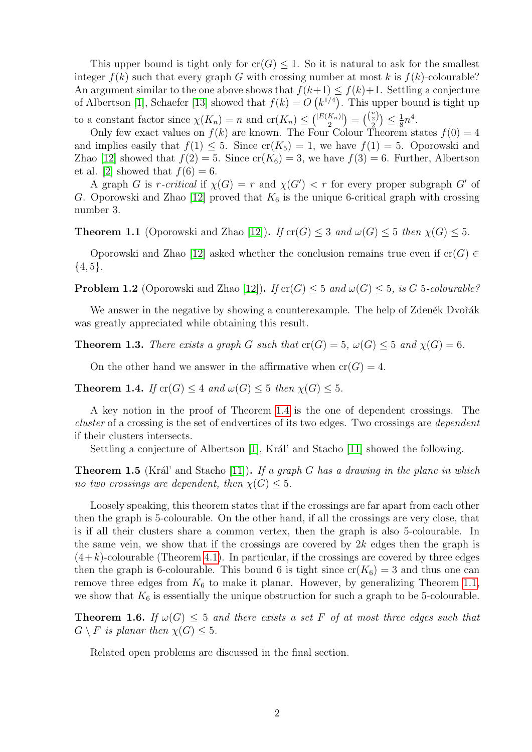This upper bound is tight only for  $cr(G) \leq 1$ . So it is natural to ask for the smallest integer  $f(k)$  such that every graph G with crossing number at most k is  $f(k)$ -colourable? An argument similar to the one above shows that  $f(k+1) \leq f(k)+1$ . Settling a conjecture of Albertson [\[1\]](#page-22-0), Schaefer [\[13\]](#page-23-0) showed that  $f(k) = O(k^{1/4})$ . This upper bound is tight up to a constant factor since  $\chi(K_n) = n$  and  $\operatorname{cr}(K_n) \leq {\binom{|E(K_n)|}{2}}$  $\binom{K_n)}{2} = \binom{\binom{n}{2}}{2} \leq \frac{1}{8}$  $\frac{1}{8}n^4$ .

Only few exact values on  $f(k)$  are known. The Four Colour Theorem states  $f(0) = 4$ and implies easily that  $f(1) \leq 5$ . Since  $cr(K_5) = 1$ , we have  $f(1) = 5$ . Oporowski and Zhao [\[12\]](#page-23-1) showed that  $f(2) = 5$ . Since  $cr(K_6) = 3$ , we have  $f(3) = 6$ . Further, Albertson et al. [\[2\]](#page-22-1) showed that  $f(6) = 6$ .

A graph G is r-critical if  $\chi(G) = r$  and  $\chi(G') < r$  for every proper subgraph G' of G. Oporowski and Zhao [\[12\]](#page-23-1) proved that  $K_6$  is the unique 6-critical graph with crossing number 3.

<span id="page-1-1"></span>**Theorem 1.1** (Oporowski and Zhao [\[12\]](#page-23-1)). If  $\text{cr}(G) \leq 3$  and  $\omega(G) \leq 5$  then  $\chi(G) \leq 5$ .

Oporowski and Zhao [\[12\]](#page-23-1) asked whether the conclusion remains true even if  $cr(G) \in$  $\{4, 5\}.$ 

**Problem 1.2** (Oporowski and Zhao [\[12\]](#page-23-1)). If  $\text{cr}(G) \leq 5$  and  $\omega(G) \leq 5$ , is G 5-colourable?

We answer in the negative by showing a counterexample. The help of Zdeněk Dvořák was greatly appreciated while obtaining this result.

<span id="page-1-3"></span>**Theorem 1.3.** There exists a graph G such that  $cr(G) = 5$ ,  $\omega(G) \leq 5$  and  $\chi(G) = 6$ .

On the other hand we answer in the affirmative when  $cr(G) = 4$ .

<span id="page-1-0"></span>**Theorem 1.4.** If  $\text{cr}(G) \leq 4$  and  $\omega(G) \leq 5$  then  $\chi(G) \leq 5$ .

A key notion in the proof of Theorem [1.4](#page-1-0) is the one of dependent crossings. The cluster of a crossing is the set of endvertices of its two edges. Two crossings are *dependent* if their clusters intersects.

Settling a conjecture of Albertson  $[1]$ , Král' and Stacho  $[11]$  showed the following.

<span id="page-1-4"></span>**Theorem 1.5** (Král' and Stacho [\[11\]](#page-23-2)). If a graph G has a drawing in the plane in which no two crossings are dependent, then  $\chi(G) \leq 5$ .

Loosely speaking, this theorem states that if the crossings are far apart from each other then the graph is 5-colourable. On the other hand, if all the crossings are very close, that is if all their clusters share a common vertex, then the graph is also 5-colourable. In the same vein, we show that if the crossings are covered by  $2k$  edges then the graph is  $(4+k)$ -colourable (Theorem [4.1\)](#page-7-0). In particular, if the crossings are covered by three edges then the graph is 6-colourable. This bound 6 is tight since  $cr(K_6) = 3$  and thus one can remove three edges from  $K_6$  to make it planar. However, by generalizing Theorem [1.1,](#page-1-1) we show that  $K_6$  is essentially the unique obstruction for such a graph to be 5-colourable.

<span id="page-1-2"></span>**Theorem 1.6.** If  $\omega(G) \leq 5$  and there exists a set F of at most three edges such that  $G \setminus F$  is planar then  $\chi(G) \leq 5$ .

Related open problems are discussed in the final section.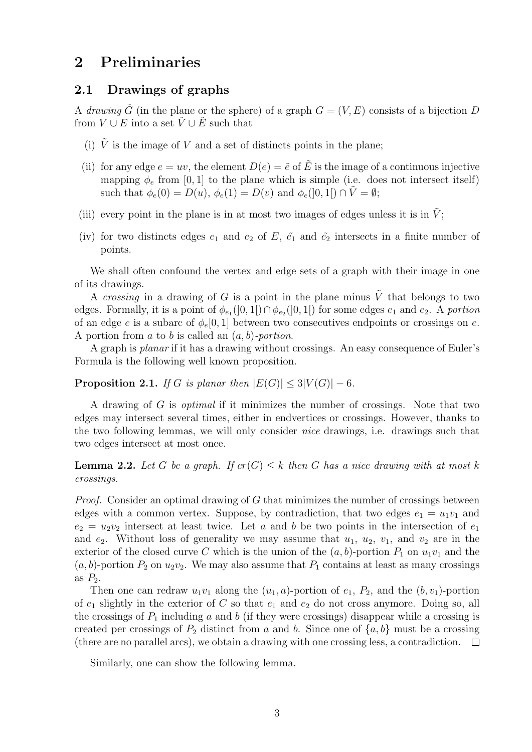## 2 Preliminaries

### 2.1 Drawings of graphs

A drawing  $\tilde{G}$  (in the plane or the sphere) of a graph  $G = (V, E)$  consists of a bijection D from  $V \cup E$  into a set  $\tilde{V} \cup \tilde{E}$  such that

- (i)  $\tilde{V}$  is the image of V and a set of distincts points in the plane;
- (ii) for any edge  $e = uv$ , the element  $D(e) = \tilde{e}$  of  $\tilde{E}$  is the image of a continuous injective mapping  $\phi_e$  from [0, 1] to the plane which is simple (i.e. does not intersect itself) such that  $\phi_e(0) = D(u), \phi_e(1) = D(v)$  and  $\phi_e([0,1]) \cap \tilde{V} = \emptyset$ ;
- (iii) every point in the plane is in at most two images of edges unless it is in  $\tilde{V}$ ;
- (iv) for two distincts edges  $e_1$  and  $e_2$  of E,  $\tilde{e_1}$  and  $\tilde{e_2}$  intersects in a finite number of points.

We shall often confound the vertex and edge sets of a graph with their image in one of its drawings.

A crossing in a drawing of G is a point in the plane minus  $\tilde{V}$  that belongs to two edges. Formally, it is a point of  $\phi_{e_1}(]0,1[) \cap \phi_{e_2}(]0,1[)$  for some edges  $e_1$  and  $e_2$ . A portion of an edge e is a subarc of  $\phi_e[0, 1]$  between two consecutives endpoints or crossings on e. A portion from  $a$  to  $b$  is called an  $(a, b)$ -portion.

A graph is planar if it has a drawing without crossings. An easy consequence of Euler's Formula is the following well known proposition.

<span id="page-2-0"></span>**Proposition 2.1.** If G is planar then  $|E(G)| \leq 3|V(G)| - 6$ .

A drawing of G is optimal if it minimizes the number of crossings. Note that two edges may intersect several times, either in endvertices or crossings. However, thanks to the two following lemmas, we will only consider nice drawings, i.e. drawings such that two edges intersect at most once.

**Lemma 2.2.** Let G be a graph. If  $cr(G) \leq k$  then G has a nice drawing with at most k crossings.

Proof. Consider an optimal drawing of G that minimizes the number of crossings between edges with a common vertex. Suppose, by contradiction, that two edges  $e_1 = u_1v_1$  and  $e_2 = u_2v_2$  intersect at least twice. Let a and b be two points in the intersection of  $e_1$ and  $e_2$ . Without loss of generality we may assume that  $u_1, u_2, v_1$ , and  $v_2$  are in the exterior of the closed curve C which is the union of the  $(a, b)$ -portion  $P_1$  on  $u_1v_1$  and the  $(a, b)$ -portion  $P_2$  on  $u_2v_2$ . We may also assume that  $P_1$  contains at least as many crossings as  $P_2$ .

Then one can redraw  $u_1v_1$  along the  $(u_1, a)$ -portion of  $e_1$ ,  $P_2$ , and the  $(b, v_1)$ -portion of  $e_1$  slightly in the exterior of C so that  $e_1$  and  $e_2$  do not cross anymore. Doing so, all the crossings of  $P_1$  including a and b (if they were crossings) disappear while a crossing is created per crossings of  $P_2$  distinct from a and b. Since one of  $\{a, b\}$  must be a crossing (there are no parallel arcs), we obtain a drawing with one crossing less, a contradiction.  $\Box$ 

Similarly, one can show the following lemma.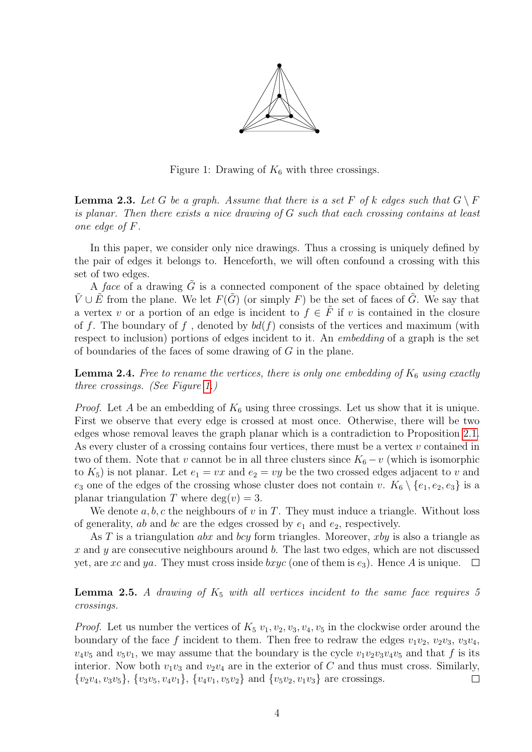

<span id="page-3-0"></span>Figure 1: Drawing of  $K_6$  with three crossings.

**Lemma 2.3.** Let G be a graph. Assume that there is a set F of k edges such that  $G \setminus F$ is planar. Then there exists a nice drawing of G such that each crossing contains at least one edge of F.

In this paper, we consider only nice drawings. Thus a crossing is uniquely defined by the pair of edges it belongs to. Henceforth, we will often confound a crossing with this set of two edges.

A face of a drawing  $\tilde{G}$  is a connected component of the space obtained by deleting  $\tilde{V} \cup \tilde{E}$  from the plane. We let  $F(\tilde{G})$  (or simply F) be the set of faces of  $\tilde{G}$ . We say that a vertex v or a portion of an edge is incident to  $f \in \tilde{F}$  if v is contained in the closure of f. The boundary of f, denoted by  $bd(f)$  consists of the vertices and maximum (with respect to inclusion) portions of edges incident to it. An embedding of a graph is the set of boundaries of the faces of some drawing of  $G$  in the plane.

<span id="page-3-2"></span>**Lemma 2.4.** Free to rename the vertices, there is only one embedding of  $K_6$  using exactly three crossings. (See Figure [1.](#page-3-0))

*Proof.* Let A be an embedding of  $K_6$  using three crossings. Let us show that it is unique. First we observe that every edge is crossed at most once. Otherwise, there will be two edges whose removal leaves the graph planar which is a contradiction to Proposition [2.1.](#page-2-0) As every cluster of a crossing contains four vertices, there must be a vertex v contained in two of them. Note that v cannot be in all three clusters since  $K_6 - v$  (which is isomorphic to  $K_5$ ) is not planar. Let  $e_1 = vx$  and  $e_2 = vy$  be the two crossed edges adjacent to v and  $e_3$  one of the edges of the crossing whose cluster does not contain v.  $K_6 \setminus \{e_1, e_2, e_3\}$  is a planar triangulation T where  $deg(v) = 3$ .

We denote  $a, b, c$  the neighbours of v in T. They must induce a triangle. Without loss of generality, ab and bc are the edges crossed by  $e_1$  and  $e_2$ , respectively.

As T is a triangulation *abx* and *bcy* form triangles. Moreover, *xby* is also a triangle as x and y are consecutive neighbours around b. The last two edges, which are not discussed yet, are xc and ya. They must cross inside bxyc (one of them is  $e_3$ ). Hence A is unique.  $\square$ 

<span id="page-3-1"></span>**Lemma 2.5.** A drawing of  $K_5$  with all vertices incident to the same face requires 5 crossings.

<span id="page-3-3"></span>*Proof.* Let us number the vertices of  $K_5$   $v_1, v_2, v_3, v_4, v_5$  in the clockwise order around the boundary of the face f incident to them. Then free to redraw the edges  $v_1v_2$ ,  $v_2v_3$ ,  $v_3v_4$ ,  $v_4v_5$  and  $v_5v_1$ , we may assume that the boundary is the cycle  $v_1v_2v_3v_4v_5$  and that f is its interior. Now both  $v_1v_3$  and  $v_2v_4$  are in the exterior of C and thus must cross. Similarly,  $\{v_2v_4, v_3v_5\}, \{v_3v_5, v_4v_1\}, \{v_4v_1, v_5v_2\}$  and  $\{v_5v_2, v_1v_3\}$  are crossings.  $\Box$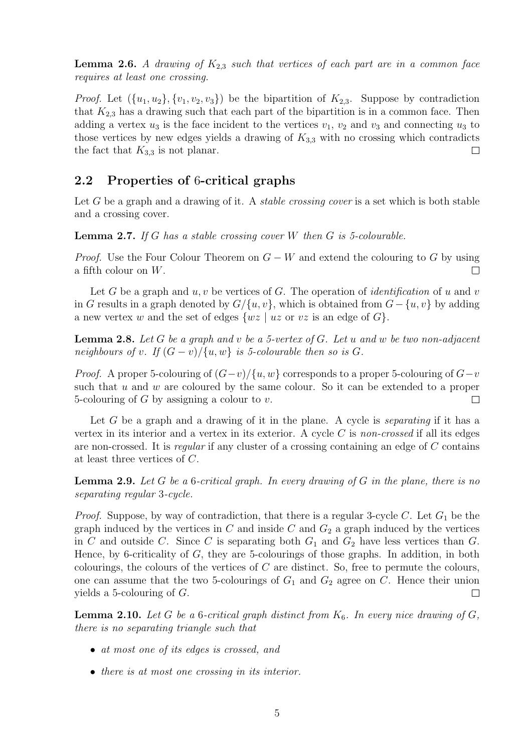**Lemma 2.6.** A drawing of  $K_{2,3}$  such that vertices of each part are in a common face requires at least one crossing.

*Proof.* Let  $({u_1, u_2}, {v_1, v_2, v_3})$  be the bipartition of  $K_{2,3}$ . Suppose by contradiction that  $K_{2,3}$  has a drawing such that each part of the bipartition is in a common face. Then adding a vertex  $u_3$  is the face incident to the vertices  $v_1, v_2$  and  $v_3$  and connecting  $u_3$  to those vertices by new edges yields a drawing of  $K_{3,3}$  with no crossing which contradicts the fact that  $K_{3,3}$  is not planar.  $\Box$ 

### 2.2 Properties of 6-critical graphs

Let  $G$  be a graph and a drawing of it. A *stable crossing cover* is a set which is both stable and a crossing cover.

<span id="page-4-1"></span>**Lemma 2.7.** If G has a stable crossing cover W then  $G$  is 5-colourable.

*Proof.* Use the Four Colour Theorem on  $G - W$  and extend the colouring to G by using a fifth colour on W. П

Let G be a graph and  $u, v$  be vertices of G. The operation of *identification* of u and v in G results in a graph denoted by  $G/\{u, v\}$ , which is obtained from  $G - \{u, v\}$  by adding a new vertex w and the set of edges  $\{wz \mid uz \text{ or } vz \text{ is an edge of } G\}.$ 

<span id="page-4-2"></span>**Lemma 2.8.** Let G be a graph and v be a 5-vertex of G. Let u and w be two non-adjacent neighbours of v. If  $(G - v)/\{u, w\}$  is 5-colourable then so is G.

*Proof.* A proper 5-colouring of  $(G-v)/\{u, w\}$  corresponds to a proper 5-colouring of  $G-v$ such that  $u$  and  $w$  are coloured by the same colour. So it can be extended to a proper 5-colouring of  $G$  by assigning a colour to  $v$ .  $\Box$ 

Let G be a graph and a drawing of it in the plane. A cycle is *separating* if it has a vertex in its interior and a vertex in its exterior. A cycle  $C$  is non-crossed if all its edges are non-crossed. It is regular if any cluster of a crossing containing an edge of C contains at least three vertices of C.

<span id="page-4-0"></span>**Lemma 2.9.** Let G be a 6-critical graph. In every drawing of G in the plane, there is no separating regular 3-cycle.

*Proof.* Suppose, by way of contradiction, that there is a regular 3-cycle C. Let  $G_1$  be the graph induced by the vertices in  $C$  and inside  $C$  and  $G_2$  a graph induced by the vertices in C and outside C. Since C is separating both  $G_1$  and  $G_2$  have less vertices than G. Hence, by 6-criticality of  $G$ , they are 5-colourings of those graphs. In addition, in both colourings, the colours of the vertices of  $C$  are distinct. So, free to permute the colours, one can assume that the two 5-colourings of  $G_1$  and  $G_2$  agree on C. Hence their union yields a 5-colouring of G.  $\Box$ 

<span id="page-4-3"></span>**Lemma 2.10.** Let G be a 6-critical graph distinct from  $K_6$ . In every nice drawing of G, there is no separating triangle such that

- at most one of its edges is crossed, and
- there is at most one crossing in its interior.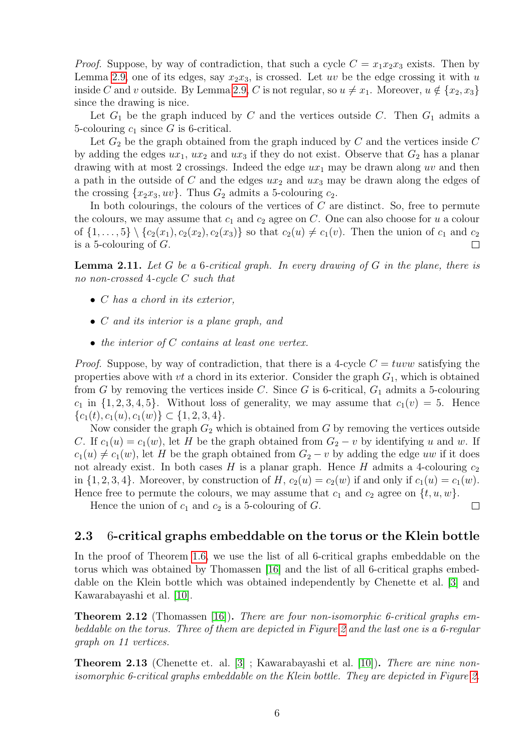*Proof.* Suppose, by way of contradiction, that such a cycle  $C = x_1x_2x_3$  exists. Then by Lemma [2.9,](#page-4-0) one of its edges, say  $x_2x_3$ , is crossed. Let uv be the edge crossing it with u inside C and v outside. By Lemma [2.9,](#page-4-0) C is not regular, so  $u \neq x_1$ . Moreover,  $u \notin \{x_2, x_3\}$ since the drawing is nice.

Let  $G_1$  be the graph induced by C and the vertices outside C. Then  $G_1$  admits a 5-colouring  $c_1$  since G is 6-critical.

Let  $G_2$  be the graph obtained from the graph induced by  $C$  and the vertices inside  $C$ by adding the edges  $ux_1, ux_2$  and  $ux_3$  if they do not exist. Observe that  $G_2$  has a planar drawing with at most 2 crossings. Indeed the edge  $ux_1$  may be drawn along uv and then a path in the outside of C and the edges  $ux_2$  and  $ux_3$  may be drawn along the edges of the crossing  $\{x_2x_3, uv\}$ . Thus  $G_2$  admits a 5-colouring  $c_2$ .

In both colourings, the colours of the vertices of  $C$  are distinct. So, free to permute the colours, we may assume that  $c_1$  and  $c_2$  agree on C. One can also choose for u a colour of  $\{1, \ldots, 5\} \setminus \{c_2(x_1), c_2(x_2), c_2(x_3)\}\$  so that  $c_2(u) \neq c_1(v)$ . Then the union of  $c_1$  and  $c_2$ is a 5-colouring of  $G$ .  $\Box$ 

<span id="page-5-3"></span>**Lemma 2.11.** Let G be a 6-critical graph. In every drawing of G in the plane, there is no non-crossed 4-cycle C such that

- C has a chord in its exterior,
- C and its interior is a plane graph, and
- the interior of C contains at least one vertex.

*Proof.* Suppose, by way of contradiction, that there is a 4-cycle  $C = tuvw$  satisfying the properties above with  $vt$  a chord in its exterior. Consider the graph  $G_1$ , which is obtained from G by removing the vertices inside C. Since G is 6-critical,  $G_1$  admits a 5-colouring  $c_1$  in  $\{1, 2, 3, 4, 5\}$ . Without loss of generality, we may assume that  $c_1(v) = 5$ . Hence  ${c_1(t), c_1(u), c_1(w)} \subset {1, 2, 3, 4}.$ 

Now consider the graph  $G_2$  which is obtained from G by removing the vertices outside C. If  $c_1(u) = c_1(w)$ , let H be the graph obtained from  $G_2 - v$  by identifying u and w. If  $c_1(u) \neq c_1(w)$ , let H be the graph obtained from  $G_2 - v$  by adding the edge uw if it does not already exist. In both cases  $H$  is a planar graph. Hence  $H$  admits a 4-colouring  $c_2$ in  $\{1, 2, 3, 4\}$ . Moreover, by construction of H,  $c_2(u) = c_2(w)$  if and only if  $c_1(u) = c_1(w)$ . Hence free to permute the colours, we may assume that  $c_1$  and  $c_2$  agree on  $\{t, u, w\}$ .

Hence the union of  $c_1$  and  $c_2$  is a 5-colouring of  $G$ .

### 2.3 6-critical graphs embeddable on the torus or the Klein bottle

 $\Box$ 

In the proof of Theorem [1.6,](#page-1-2) we use the list of all 6-critical graphs embeddable on the torus which was obtained by Thomassen [\[16\]](#page-23-3) and the list of all 6-critical graphs embeddable on the Klein bottle which was obtained independently by Chenette et al. [\[3\]](#page-23-4) and Kawarabayashi et al. [\[10\]](#page-23-5).

<span id="page-5-0"></span>**Theorem 2.12** (Thomassen [\[16\]](#page-23-3)). There are four non-isomorphic 6-critical graphs embeddable on the torus. Three of them are depicted in Figure [2](#page-6-0) and the last one is a 6-regular graph on 11 vertices.

<span id="page-5-2"></span><span id="page-5-1"></span>**Theorem 2.13** (Chenette et. al. [\[3\]](#page-23-4); Kawarabayashi et al. [\[10\]](#page-23-5)). *There are nine non*isomorphic 6-critical graphs embeddable on the Klein bottle. They are depicted in Figure [2.](#page-6-0)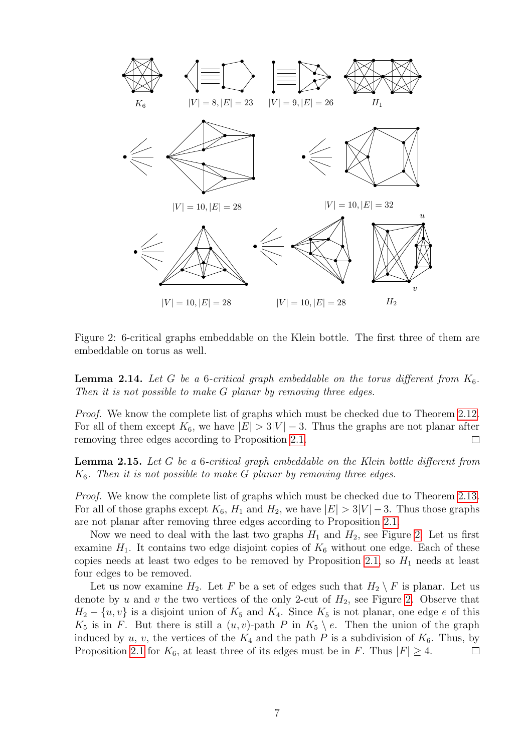

<span id="page-6-0"></span>Figure 2: 6-critical graphs embeddable on the Klein bottle. The first three of them are embeddable on torus as well.

**Lemma 2.14.** Let G be a 6-critical graph embeddable on the torus different from  $K_6$ . Then it is not possible to make G planar by removing three edges.

Proof. We know the complete list of graphs which must be checked due to Theorem [2.12.](#page-5-0) For all of them except  $K_6$ , we have  $|E| > 3|V| - 3$ . Thus the graphs are not planar after removing three edges according to Proposition [2.1.](#page-2-0)  $\Box$ 

<span id="page-6-1"></span>**Lemma 2.15.** Let G be a 6-critical graph embeddable on the Klein bottle different from  $K<sub>6</sub>$ . Then it is not possible to make G planar by removing three edges.

Proof. We know the complete list of graphs which must be checked due to Theorem [2.13.](#page-5-1) For all of those graphs except  $K_6$ ,  $H_1$  and  $H_2$ , we have  $|E| > 3|V| - 3$ . Thus those graphs are not planar after removing three edges according to Proposition [2.1.](#page-2-0)

Now we need to deal with the last two graphs  $H_1$  and  $H_2$ , see Figure [2.](#page-6-0) Let us first examine  $H_1$ . It contains two edge disjoint copies of  $K_6$  without one edge. Each of these copies needs at least two edges to be removed by Proposition [2.1,](#page-2-0) so  $H_1$  needs at least four edges to be removed.

Let us now examine  $H_2$ . Let F be a set of edges such that  $H_2 \setminus F$  is planar. Let us denote by u and v the two vertices of the only 2-cut of  $H_2$ , see Figure [2.](#page-6-0) Observe that  $H_2 - \{u, v\}$  is a disjoint union of  $K_5$  and  $K_4$ . Since  $K_5$  is not planar, one edge e of this  $K_5$  is in F. But there is still a  $(u, v)$ -path P in  $K_5 \setminus e$ . Then the union of the graph induced by u, v, the vertices of the  $K_4$  and the path P is a subdivision of  $K_6$ . Thus, by Proposition [2.1](#page-2-0) for  $K_6$ , at least three of its edges must be in F. Thus  $|F| \geq 4$ .  $\Box$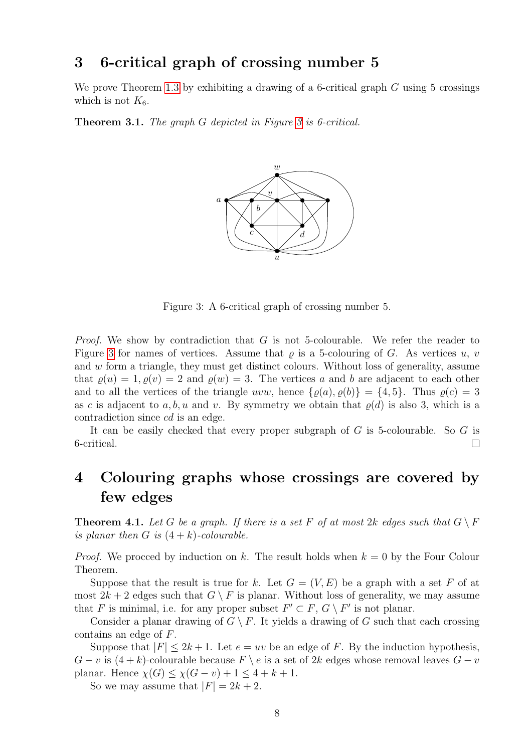## 3 6-critical graph of crossing number 5

We prove Theorem [1.3](#page-1-3) by exhibiting a drawing of a 6-critical graph  $G$  using 5 crossings which is not  $K_6$ .

Theorem [3](#page-7-1).1. The graph G depicted in Figure 3 is 6-critical.



<span id="page-7-1"></span>Figure 3: A 6-critical graph of crossing number 5.

*Proof.* We show by contradiction that  $G$  is not 5-colourable. We refer the reader to Figure [3](#page-7-1) for names of vertices. Assume that  $\rho$  is a 5-colouring of G. As vertices u, v and w form a triangle, they must get distinct colours. Without loss of generality, assume that  $\rho(u) = 1, \rho(v) = 2$  and  $\rho(w) = 3$ . The vertices a and b are adjacent to each other and to all the vertices of the triangle uvw, hence  $\{\varrho(a), \varrho(b)\} = \{4, 5\}$ . Thus  $\varrho(c) = 3$ as c is adjacent to a, b, u and v. By symmetry we obtain that  $\rho(d)$  is also 3, which is a contradiction since cd is an edge.

It can be easily checked that every proper subgraph of G is 5-colourable. So G is 6-critical.  $\Box$ 

## 4 Colouring graphs whose crossings are covered by few edges

<span id="page-7-0"></span>**Theorem 4.1.** Let G be a graph. If there is a set F of at most 2k edges such that  $G \setminus F$ is planar then G is  $(4 + k)$ -colourable.

*Proof.* We procced by induction on k. The result holds when  $k = 0$  by the Four Colour Theorem.

Suppose that the result is true for k. Let  $G = (V, E)$  be a graph with a set F of at most  $2k + 2$  edges such that  $G \setminus F$  is planar. Without loss of generality, we may assume that F is minimal, i.e. for any proper subset  $F' \subset F$ ,  $G \setminus F'$  is not planar.

Consider a planar drawing of  $G \setminus F$ . It yields a drawing of G such that each crossing contains an edge of F.

Suppose that  $|F| \leq 2k + 1$ . Let  $e = uv$  be an edge of F. By the induction hypothesis,  $G - v$  is  $(4 + k)$ -colourable because  $F \setminus e$  is a set of 2k edges whose removal leaves  $G - v$ planar. Hence  $\chi(G) \leq \chi(G - v) + 1 \leq 4 + k + 1$ .

So we may assume that  $|F| = 2k + 2$ .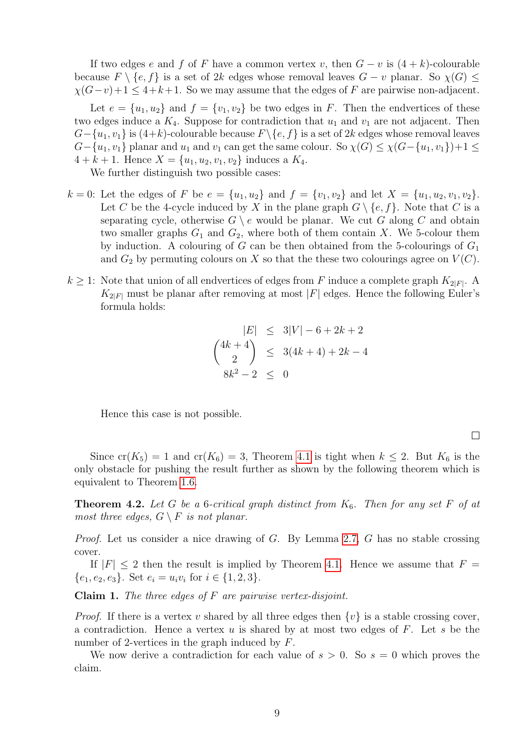If two edges e and f of F have a common vertex v, then  $G - v$  is  $(4 + k)$ -colourable because  $F \setminus \{e, f\}$  is a set of 2k edges whose removal leaves  $G - v$  planar. So  $\chi(G) \leq$  $\chi(G-v)+1 \leq 4+k+1$ . So we may assume that the edges of F are pairwise non-adjacent.

Let  $e = \{u_1, u_2\}$  and  $f = \{v_1, v_2\}$  be two edges in F. Then the endvertices of these two edges induce a  $K_4$ . Suppose for contradiction that  $u_1$  and  $v_1$  are not adjacent. Then  $G-\{u_1, v_1\}$  is  $(4+k)$ -colourable because  $F \setminus \{e, f\}$  is a set of 2k edges whose removal leaves  $G-\{u_1, v_1\}$  planar and  $u_1$  and  $v_1$  can get the same colour. So  $\chi(G) \leq \chi(G-\{u_1, v_1\})+1 \leq$  $4 + k + 1$ . Hence  $X = \{u_1, u_2, v_1, v_2\}$  induces a  $K_4$ .

We further distinguish two possible cases:

- $k = 0$ : Let the edges of F be  $e = \{u_1, u_2\}$  and  $f = \{v_1, v_2\}$  and let  $X = \{u_1, u_2, v_1, v_2\}$ . Let C be the 4-cycle induced by X in the plane graph  $G \setminus \{e, f\}$ . Note that C is a separating cycle, otherwise  $G \setminus e$  would be planar. We cut G along C and obtain two smaller graphs  $G_1$  and  $G_2$ , where both of them contain X. We 5-colour them by induction. A colouring of G can be then obtained from the 5-colourings of  $G_1$ and  $G_2$  by permuting colours on X so that the these two colourings agree on  $V(C)$ .
- $k \geq 1$ : Note that union of all endvertices of edges from F induce a complete graph  $K_{2|F|}$ . A  $K_{2|F|}$  must be planar after removing at most |F| edges. Hence the following Euler's formula holds:

$$
|E| \le 3|V| - 6 + 2k + 2
$$
  
\n
$$
{4k + 4 \choose 2} \le 3(4k + 4) + 2k - 4
$$
  
\n
$$
8k^2 - 2 \le 0
$$

Hence this case is not possible.

 $\Box$ 

Since  $cr(K_5) = 1$  and  $cr(K_6) = 3$ , Theorem [4.1](#page-7-0) is tight when  $k \leq 2$ . But  $K_6$  is the only obstacle for pushing the result further as shown by the following theorem which is equivalent to Theorem [1.6.](#page-1-2)

**Theorem 4.2.** Let G be a 6-critical graph distinct from  $K_6$ . Then for any set F of at most three edges,  $G \setminus F$  is not planar.

*Proof.* Let us consider a nice drawing of G. By Lemma [2.7,](#page-4-1) G has no stable crossing cover.

If  $|F| \leq 2$  then the result is implied by Theorem [4.1.](#page-7-0) Hence we assume that  $F =$  $\{e_1, e_2, e_3\}$ . Set  $e_i = u_i v_i$  for  $i \in \{1, 2, 3\}$ .

<span id="page-8-0"></span>**Claim 1.** The three edges of  $F$  are pairwise vertex-disjoint.

*Proof.* If there is a vertex v shared by all three edges then  $\{v\}$  is a stable crossing cover, a contradiction. Hence a vertex  $u$  is shared by at most two edges of  $F$ . Let  $s$  be the number of 2-vertices in the graph induced by F.

We now derive a contradiction for each value of  $s > 0$ . So  $s = 0$  which proves the claim.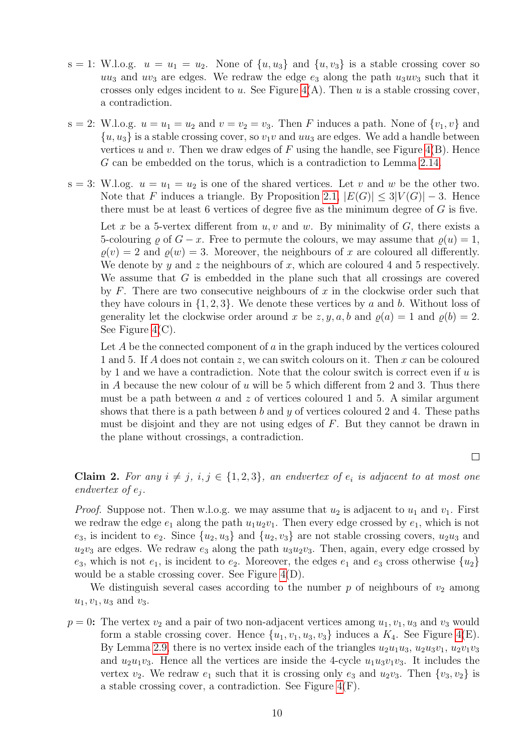- $s = 1$ : W.l.o.g.  $u = u_1 = u_2$ . None of  $\{u, u_3\}$  and  $\{u, v_3\}$  is a stable crossing cover so  $uu_3$  and  $uv_3$  are edges. We redraw the edge  $e_3$  along the path  $u_3uv_3$  such that it crosses only edges incident to u. See Figure  $4(A)$ . Then u is a stable crossing cover, a contradiction.
- s = 2: W.l.o.g.  $u = u_1 = u_2$  and  $v = v_2 = v_3$ . Then F induces a path. None of  $\{v_1, v\}$  and  $\{u, u_3\}$  is a stable crossing cover, so  $v_1v$  and  $uu_3$  are edges. We add a handle between vertices u and v. Then we draw edges of  $F$  using the handle, see Figure [4\(](#page-10-0)B). Hence G can be embedded on the torus, which is a contradiction to Lemma [2.14.](#page-5-2)
- s = 3: W.l.og.  $u = u_1 = u_2$  is one of the shared vertices. Let v and w be the other two. Note that F induces a triangle. By Proposition [2.1,](#page-2-0)  $|E(G)| \leq 3|V(G)|-3$ . Hence there must be at least 6 vertices of degree five as the minimum degree of  $G$  is five. Let x be a 5-vertex different from  $u, v$  and  $w$ . By minimality of  $G$ , there exists a 5-colouring  $\varrho$  of  $G - x$ . Free to permute the colours, we may assume that  $\varrho(u) = 1$ ,  $\rho(v) = 2$  and  $\rho(w) = 3$ . Moreover, the neighbours of x are coloured all differently. We denote by y and z the neighbours of x, which are coloured 4 and 5 respectively. We assume that  $G$  is embedded in the plane such that all crossings are covered by  $F$ . There are two consecutive neighbours of  $x$  in the clockwise order such that they have colours in  $\{1, 2, 3\}$ . We denote these vertices by a and b. Without loss of generality let the clockwise order around x be  $z, y, a, b$  and  $\rho(a) = 1$  and  $\rho(b) = 2$ . See Figure [4\(](#page-10-0)C).

Let  $A$  be the connected component of  $a$  in the graph induced by the vertices coloured 1 and 5. If A does not contain z, we can switch colours on it. Then x can be coloured by 1 and we have a contradiction. Note that the colour switch is correct even if  $u$  is in  $A$  because the new colour of  $u$  will be 5 which different from 2 and 3. Thus there must be a path between a and z of vertices coloured 1 and 5. A similar argument shows that there is a path between b and y of vertices coloured 2 and 4. These paths must be disjoint and they are not using edges of F. But they cannot be drawn in the plane without crossings, a contradiction.

 $\Box$ 

<span id="page-9-0"></span>Claim 2. For any  $i \neq j$ ,  $i, j \in \{1, 2, 3\}$ , an endvertex of  $e_i$  is adjacent to at most one endvertex of  $e_j$ .

*Proof.* Suppose not. Then w.l.o.g. we may assume that  $u_2$  is adjacent to  $u_1$  and  $v_1$ . First we redraw the edge  $e_1$  along the path  $u_1u_2v_1$ . Then every edge crossed by  $e_1$ , which is not  $e_3$ , is incident to  $e_2$ . Since  $\{u_2, u_3\}$  and  $\{u_2, v_3\}$  are not stable crossing covers,  $u_2u_3$  and  $u_2v_3$  are edges. We redraw  $e_3$  along the path  $u_3u_2v_3$ . Then, again, every edge crossed by  $e_3$ , which is not  $e_1$ , is incident to  $e_2$ . Moreover, the edges  $e_1$  and  $e_3$  cross otherwise  $\{u_2\}$ would be a stable crossing cover. See Figure [4\(](#page-10-0)D).

We distinguish several cases according to the number p of neighbours of  $v_2$  among  $u_1, v_1, u_3$  and  $v_3$ .

 $p = 0$ : The vertex  $v_2$  and a pair of two non-adjacent vertices among  $u_1, v_1, u_3$  and  $v_3$  would form a stable crossing cover. Hence  $\{u_1, v_1, u_3, v_3\}$  induces a  $K_4$ . See Figure [4\(](#page-10-0)E). By Lemma [2.9,](#page-4-0) there is no vertex inside each of the triangles  $u_2u_1u_3$ ,  $u_2u_3v_1$ ,  $u_2v_1v_3$ and  $u_2u_1v_3$ . Hence all the vertices are inside the 4-cycle  $u_1u_3v_1v_3$ . It includes the vertex  $v_2$ . We redraw  $e_1$  such that it is crossing only  $e_3$  and  $u_2v_3$ . Then  $\{v_3, v_2\}$  is a stable crossing cover, a contradiction. See Figure [4\(](#page-10-0)F).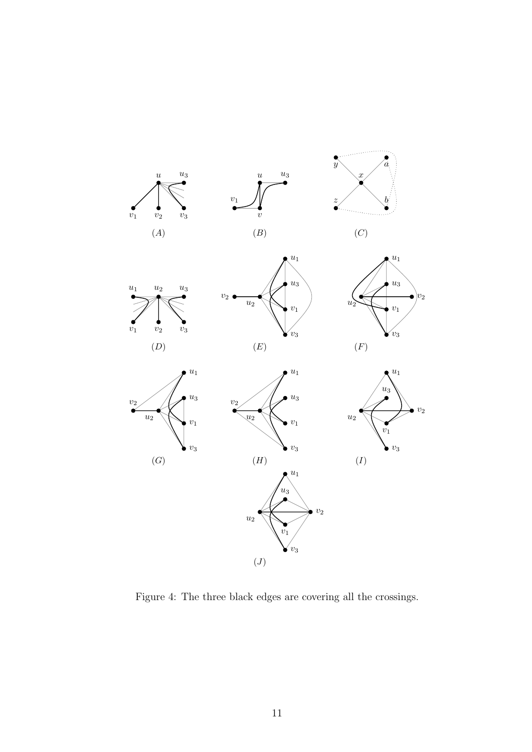

<span id="page-10-0"></span>Figure 4: The three black edges are covering all the crossings.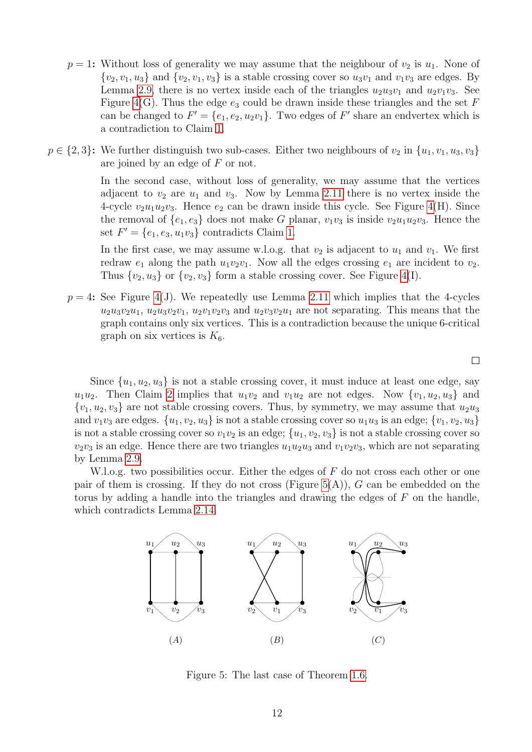- $p = 1$ : Without loss of generality we may assume that the neighbour of  $v_2$  is  $u_1$ . None of  $\{v_2, v_1, u_3\}$  and  $\{v_2, v_1, v_3\}$  is a stable crossing cover so  $u_3v_1$  and  $v_1v_3$  are edges. By Lemma [2.9,](#page-4-0) there is no vertex inside each of the triangles  $u_2u_3v_1$  and  $u_2v_1v_3$ . See Figure [4\(](#page-10-0)G). Thus the edge  $e_3$  could be drawn inside these triangles and the set F can be changed to  $F' = \{e_1, e_2, u_2v_1\}$ . Two edges of  $F'$  share an endvertex which is a contradiction to Claim [1.](#page-8-0)
- $p \in \{2, 3\}$ : We further distinguish two sub-cases. Either two neighbours of  $v_2$  in  $\{u_1, v_1, u_3, v_3\}$ are joined by an edge of F or not.

In the second case, without loss of generality, we may assume that the vertices adjacent to  $v_2$  are  $u_1$  and  $v_3$ . Now by Lemma [2.11](#page-5-3) there is no vertex inside the 4-cycle  $v_2u_1u_2v_3$ . Hence  $e_2$  can be drawn inside this cycle. See Figure [4\(](#page-10-0)H). Since the removal of  $\{e_1, e_3\}$  does not make G planar,  $v_1v_3$  is inside  $v_2u_1u_2v_3$ . Hence the set  $F' = \{e_1, e_3, u_1v_3\}$  contradicts Claim [1.](#page-8-0)

In the first case, we may assume w.l.o.g. that  $v_2$  is adjacent to  $u_1$  and  $v_1$ . We first redraw  $e_1$  along the path  $u_1v_2v_1$ . Now all the edges crossing  $e_1$  are incident to  $v_2$ . Thus  $\{v_2, u_3\}$  or  $\{v_2, v_3\}$  form a stable crossing cover. See Figure [4\(](#page-10-0)I).

 $p = 4$ : See Figure [4\(](#page-10-0)J). We repeatedly use Lemma [2.11](#page-5-3) which implies that the 4-cycles  $u_2u_3v_2u_1$ ,  $u_2u_3v_2v_1$ ,  $u_2v_1v_2v_3$  and  $u_2v_3v_2u_1$  are not separating. This means that the graph contains only six vertices. This is a contradiction because the unique 6-critical graph on six vertices is  $K_6$ .

 $\Box$ 

Since  $\{u_1, u_2, u_3\}$  is not a stable crossing cover, it must induce at least one edge, say  $u_1u_2$ . Then Claim [2](#page-9-0) implies that  $u_1v_2$  and  $v_1u_2$  are not edges. Now  $\{v_1, u_2, u_3\}$  and  $\{v_1, u_2, v_3\}$  are not stable crossing covers. Thus, by symmetry, we may assume that  $u_2u_3$ and  $v_1v_3$  are edges.  $\{u_1, v_2, u_3\}$  is not a stable crossing cover so  $u_1u_3$  is an edge;  $\{v_1, v_2, u_3\}$ is not a stable crossing cover so  $v_1v_2$  is an edge;  $\{u_1, v_2, v_3\}$  is not a stable crossing cover so  $v_2v_3$  is an edge. Hence there are two triangles  $u_1u_2u_3$  and  $v_1v_2v_3$ , which are not separating by Lemma [2.9.](#page-4-0)

W.l.o.g. two possibilities occur. Either the edges of  $F$  do not cross each other or one pair of them is crossing. If they do not cross (Figure  $5(A)$ ), G can be embedded on the torus by adding a handle into the triangles and drawing the edges of  $F$  on the handle, which contradicts Lemma [2.14.](#page-5-2)



<span id="page-11-0"></span>Figure 5: The last case of Theorem [1.6.](#page-1-2)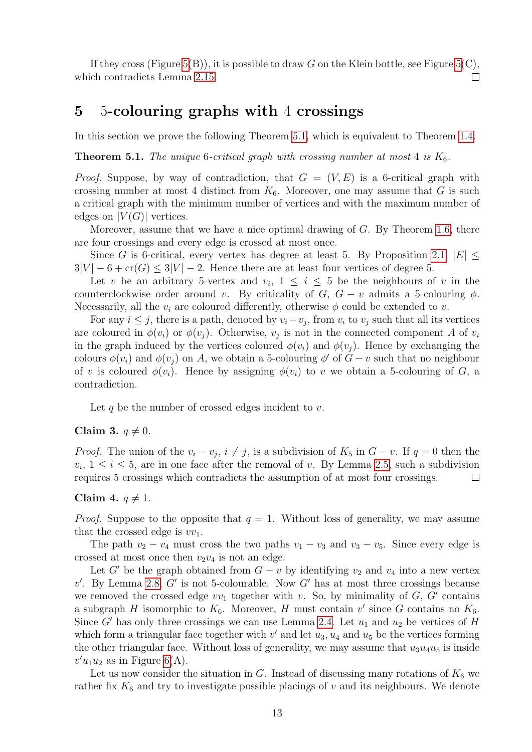If they cross (Figure [5\(](#page-11-0)B)), it is possible to draw G on the Klein bottle, see Figure 5(C). which contradicts Lemma [2.15.](#page-6-1) П

## 5 5-colouring graphs with 4 crossings

<span id="page-12-0"></span>In this section we prove the following Theorem [5.1,](#page-12-0) which is equivalent to Theorem [1.4.](#page-1-0)

**Theorem 5.1.** The unique 6-critical graph with crossing number at most 4 is  $K_6$ .

*Proof.* Suppose, by way of contradiction, that  $G = (V, E)$  is a 6-critical graph with crossing number at most 4 distinct from  $K_6$ . Moreover, one may assume that G is such a critical graph with the minimum number of vertices and with the maximum number of edges on  $|V(G)|$  vertices.

Moreover, assume that we have a nice optimal drawing of G. By Theorem [1.6,](#page-1-2) there are four crossings and every edge is crossed at most once.

Since G is 6-critical, every vertex has degree at least 5. By Proposition [2.1,](#page-2-0)  $|E| \le$  $3|V| - 6 + cr(G) \leq 3|V| - 2$ . Hence there are at least four vertices of degree 5.

Let v be an arbitrary 5-vertex and  $v_i$ ,  $1 \leq i \leq 5$  be the neighbours of v in the counterclockwise order around v. By criticality of G,  $G - v$  admits a 5-colouring  $\phi$ . Necessarily, all the  $v_i$  are coloured differently, otherwise  $\phi$  could be extended to v.

For any  $i \leq j$ , there is a path, denoted by  $v_i - v_j$ , from  $v_i$  to  $v_j$  such that all its vertices are coloured in  $\phi(v_i)$  or  $\phi(v_j)$ . Otherwise,  $v_j$  is not in the connected component A of  $v_i$ in the graph induced by the vertices coloured  $\phi(v_i)$  and  $\phi(v_j)$ . Hence by exchanging the colours  $\phi(v_i)$  and  $\phi(v_j)$  on A, we obtain a 5-colouring  $\phi'$  of  $G - v$  such that no neighbour of v is coloured  $\phi(v_i)$ . Hence by assigning  $\phi(v_i)$  to v we obtain a 5-colouring of G, a contradiction.

Let q be the number of crossed edges incident to  $v$ .

#### <span id="page-12-2"></span>Claim 3.  $q \neq 0$ .

*Proof.* The union of the  $v_i - v_j$ ,  $i \neq j$ , is a subdivision of  $K_5$  in  $G - v$ . If  $q = 0$  then the  $v_i, 1 \le i \le 5$ , are in one face after the removal of v. By Lemma [2.5,](#page-3-1) such a subdivision requires 5 crossings which contradicts the assumption of at most four crossings.  $\Box$ 

#### <span id="page-12-1"></span>Claim 4.  $q \neq 1$ .

*Proof.* Suppose to the opposite that  $q = 1$ . Without loss of generality, we may assume that the crossed edge is  $vv_1$ .

The path  $v_2 - v_4$  must cross the two paths  $v_1 - v_3$  and  $v_3 - v_5$ . Since every edge is crossed at most once then  $v_2v_4$  is not an edge.

Let G' be the graph obtained from  $G - v$  by identifying  $v_2$  and  $v_4$  into a new vertex  $v'$ . By Lemma [2.8,](#page-4-2) G' is not 5-colourable. Now G' has at most three crossings because we removed the crossed edge  $vv_1$  together with v. So, by minimality of  $G, G'$  contains a subgraph H isomorphic to  $K_6$ . Moreover, H must contain v' since G contains no  $K_6$ . Since G' has only three crossings we can use Lemma [2.4.](#page-3-2) Let  $u_1$  and  $u_2$  be vertices of H which form a triangular face together with  $v'$  and let  $u_3, u_4$  and  $u_5$  be the vertices forming the other triangular face. Without loss of generality, we may assume that  $u_3u_4u_5$  is inside  $v'u_1u_2$  as in Figure [6\(](#page-13-0)A).

Let us now consider the situation in  $G$ . Instead of discussing many rotations of  $K_6$  we rather fix  $K_6$  and try to investigate possible placings of v and its neighbours. We denote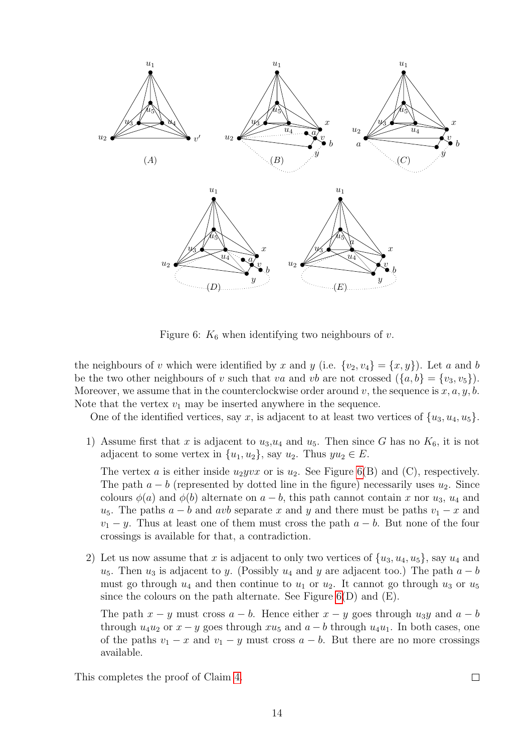

<span id="page-13-0"></span>Figure 6:  $K_6$  when identifying two neighbours of v.

the neighbours of v which were identified by x and y (i.e.  $\{v_2, v_4\} = \{x, y\}$ ). Let a and b be the two other neighbours of v such that va and vb are not crossed  $({a, b} = {v_3, v_5})$ . Moreover, we assume that in the counterclockwise order around v, the sequence is  $x, a, y, b$ . Note that the vertex  $v_1$  may be inserted anywhere in the sequence.

One of the identified vertices, say x, is adjacent to at least two vertices of  $\{u_3, u_4, u_5\}$ .

1) Assume first that x is adjacent to  $u_3, u_4$  and  $u_5$ . Then since G has no  $K_6$ , it is not adjacent to some vertex in  $\{u_1, u_2\}$ , say  $u_2$ . Thus  $yu_2 \in E$ .

The vertex a is either inside  $u_2yvx$  or is  $u_2$ . See Figure [6\(](#page-13-0)B) and (C), respectively. The path  $a - b$  (represented by dotted line in the figure) necessarily uses  $u_2$ . Since colours  $\phi(a)$  and  $\phi(b)$  alternate on  $a - b$ , this path cannot contain x nor  $u_3$ ,  $u_4$  and  $u_5$ . The paths  $a - b$  and avb separate x and y and there must be paths  $v_1 - x$  and  $v_1 - y$ . Thus at least one of them must cross the path  $a - b$ . But none of the four crossings is available for that, a contradiction.

2) Let us now assume that x is adjacent to only two vertices of  $\{u_3, u_4, u_5\}$ , say  $u_4$  and  $u_5$ . Then  $u_3$  is adjacent to y. (Possibly  $u_4$  and y are adjacent too.) The path  $a - b$ must go through  $u_4$  and then continue to  $u_1$  or  $u_2$ . It cannot go through  $u_3$  or  $u_5$ since the colours on the path alternate. See Figure  $6(D)$  and  $(E)$ .

The path  $x - y$  must cross  $a - b$ . Hence either  $x - y$  goes through  $u_3y$  and  $a - b$ through  $u_4u_2$  or  $x - y$  goes through  $xu_5$  and  $a - b$  through  $u_4u_1$ . In both cases, one of the paths  $v_1 - x$  and  $v_1 - y$  must cross  $a - b$ . But there are no more crossings available.

<span id="page-13-1"></span>This completes the proof of Claim [4.](#page-12-1)

 $\Box$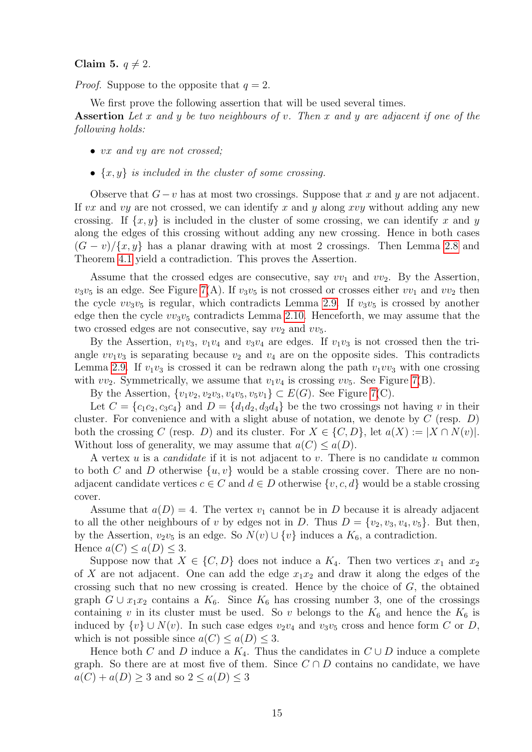#### Claim 5.  $q \neq 2$ .

*Proof.* Suppose to the opposite that  $q = 2$ .

We first prove the following assertion that will be used several times.

Assertion Let x and y be two neighbours of v. Then x and y are adjacent if one of the following holds:

- vx and vy are not crossed;
- $\{x, y\}$  is included in the cluster of some crossing.

Observe that  $G-v$  has at most two crossings. Suppose that x and y are not adjacent. If vx and vy are not crossed, we can identify x and y along xvy without adding any new crossing. If  $\{x, y\}$  is included in the cluster of some crossing, we can identify x and y along the edges of this crossing without adding any new crossing. Hence in both cases  $(G - v)/\{x, y\}$  has a planar drawing with at most 2 crossings. Then Lemma [2.8](#page-4-2) and Theorem [4.1](#page-7-0) yield a contradiction. This proves the Assertion.

Assume that the crossed edges are consecutive, say  $vv_1$  and  $vv_2$ . By the Assertion,  $v_3v_5$  is an edge. See Figure [7\(](#page-15-0)A). If  $v_3v_5$  is not crossed or crosses either  $vv_1$  and  $vv_2$  then the cycle  $vv_3v_5$  is regular, which contradicts Lemma [2.9.](#page-4-0) If  $v_3v_5$  is crossed by another edge then the cycle  $vv_3v_5$  contradicts Lemma [2.10.](#page-4-3) Henceforth, we may assume that the two crossed edges are not consecutive, say  $vv_2$  and  $vv_5$ .

By the Assertion,  $v_1v_3$ ,  $v_1v_4$  and  $v_3v_4$  are edges. If  $v_1v_3$  is not crossed then the triangle  $vv_1v_3$  is separating because  $v_2$  and  $v_4$  are on the opposite sides. This contradicts Lemma [2.9.](#page-4-0) If  $v_1v_3$  is crossed it can be redrawn along the path  $v_1vv_3$  with one crossing with  $vv_2$ . Symmetrically, we assume that  $v_1v_4$  is crossing  $vv_5$ . See Figure [7\(](#page-15-0)B).

By the Assertion,  $\{v_1v_2, v_2v_3, v_4v_5, v_5v_1\} \subset E(G)$ . See Figure [7\(](#page-15-0)C).

Let  $C = \{c_1c_2, c_3c_4\}$  and  $D = \{d_1d_2, d_3d_4\}$  be the two crossings not having v in their cluster. For convenience and with a slight abuse of notation, we denote by  $C$  (resp.  $D$ ) both the crossing C (resp. D) and its cluster. For  $X \in \{C, D\}$ , let  $a(X) := |X \cap N(v)|$ . Without loss of generality, we may assume that  $a(C) \leq a(D)$ .

A vertex u is a *candidate* if it is not adjacent to v. There is no candidate u common to both C and D otherwise  $\{u, v\}$  would be a stable crossing cover. There are no nonadjacent candidate vertices  $c \in C$  and  $d \in D$  otherwise  $\{v, c, d\}$  would be a stable crossing cover.

Assume that  $a(D) = 4$ . The vertex  $v_1$  cannot be in D because it is already adjacent to all the other neighbours of v by edges not in D. Thus  $D = \{v_2, v_3, v_4, v_5\}$ . But then, by the Assertion,  $v_2v_5$  is an edge. So  $N(v) \cup \{v\}$  induces a  $K_6$ , a contradiction. Hence  $a(C) \leq a(D) \leq 3$ .

Suppose now that  $X \in \{C, D\}$  does not induce a  $K_4$ . Then two vertices  $x_1$  and  $x_2$ of X are not adjacent. One can add the edge  $x_1x_2$  and draw it along the edges of the crossing such that no new crossing is created. Hence by the choice of  $G$ , the obtained graph  $G \cup x_1x_2$  contains a  $K_6$ . Since  $K_6$  has crossing number 3, one of the crossings containing v in its cluster must be used. So v belongs to the  $K_6$  and hence the  $K_6$  is induced by  $\{v\} \cup N(v)$ . In such case edges  $v_2v_4$  and  $v_3v_5$  cross and hence form C or D, which is not possible since  $a(C) \leq a(D) \leq 3$ .

Hence both C and D induce a  $K_4$ . Thus the candidates in  $C \cup D$  induce a complete graph. So there are at most five of them. Since  $C \cap D$  contains no candidate, we have  $a(C) + a(D) \geq 3$  and so  $2 \leq a(D) \leq 3$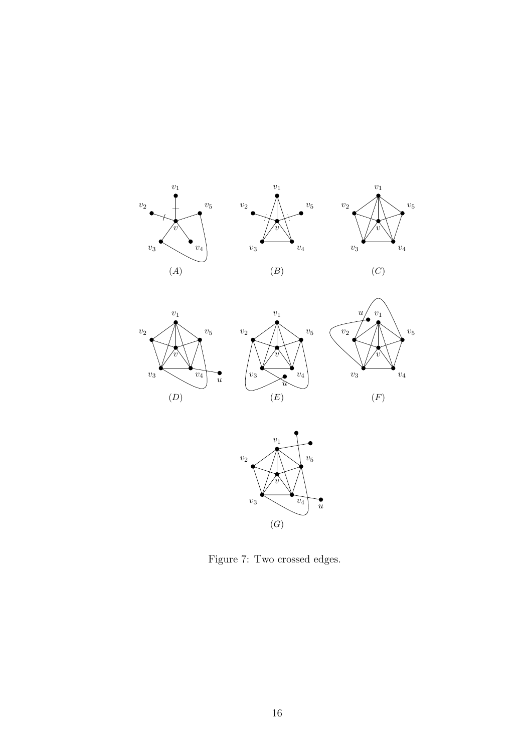











<span id="page-15-0"></span>Figure 7: Two crossed edges.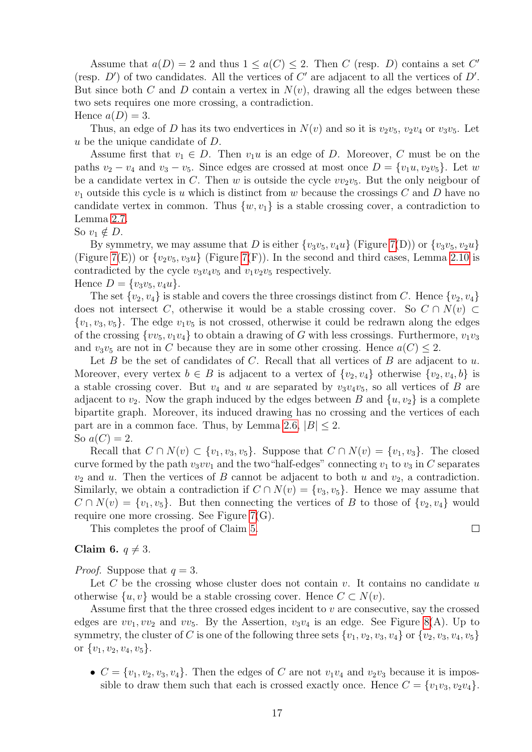Assume that  $a(D) = 2$  and thus  $1 \le a(C) \le 2$ . Then C (resp. D) contains a set C' (resp.  $D'$ ) of two candidates. All the vertices of  $C'$  are adjacent to all the vertices of  $D'$ . But since both C and D contain a vertex in  $N(v)$ , drawing all the edges between these two sets requires one more crossing, a contradiction. Hence  $a(D) = 3$ .

Thus, an edge of D has its two endvertices in  $N(v)$  and so it is  $v_2v_5$ ,  $v_2v_4$  or  $v_3v_5$ . Let u be the unique candidate of D.

Assume first that  $v_1 \in D$ . Then  $v_1u$  is an edge of D. Moreover, C must be on the paths  $v_2 - v_4$  and  $v_3 - v_5$ . Since edges are crossed at most once  $D = \{v_1u, v_2v_5\}$ . Let w be a candidate vertex in C. Then w is outside the cycle  $vv_2v_5$ . But the only neigbour of  $v_1$  outside this cycle is u which is distinct from w because the crossings C and D have no candidate vertex in common. Thus  $\{w, v_1\}$  is a stable crossing cover, a contradiction to Lemma [2.7.](#page-4-1)

So  $v_1 \notin D$ .

By symmetry, we may assume that D is either  $\{v_3v_5, v_4u\}$  (Figure [7\(](#page-15-0)D)) or  $\{v_3v_5, v_2u\}$ (Figure [7\(](#page-15-0)E)) or  $\{v_2v_5, v_3u\}$  (Figure 7(F)). In the second and third cases, Lemma [2.10](#page-4-3) is contradicted by the cycle  $v_3v_4v_5$  and  $v_1v_2v_5$  respectively. Hence  $D = \{v_3v_5, v_4u\}.$ 

The set  $\{v_2, v_4\}$  is stable and covers the three crossings distinct from C. Hence  $\{v_2, v_4\}$ does not intersect C, otherwise it would be a stable crossing cover. So  $C \cap N(v) \subset$  $\{v_1, v_3, v_5\}$ . The edge  $v_1v_5$  is not crossed, otherwise it could be redrawn along the edges of the crossing  $\{vv_5, v_1v_4\}$  to obtain a drawing of G with less crossings. Furthermore,  $v_1v_3$ and  $v_3v_5$  are not in C because they are in some other crossing. Hence  $a(C) \leq 2$ .

Let  $B$  be the set of candidates of  $C$ . Recall that all vertices of  $B$  are adjacent to  $u$ . Moreover, every vertex  $b \in B$  is adjacent to a vertex of  $\{v_2, v_4\}$  otherwise  $\{v_2, v_4, b\}$  is a stable crossing cover. But  $v_4$  and u are separated by  $v_3v_4v_5$ , so all vertices of B are adjacent to  $v_2$ . Now the graph induced by the edges between B and  $\{u, v_2\}$  is a complete bipartite graph. Moreover, its induced drawing has no crossing and the vertices of each part are in a common face. Thus, by Lemma [2.6,](#page-3-3)  $|B| < 2$ .

So  $a(C) = 2$ . Recall that  $C \cap N(v) \subset \{v_1, v_3, v_5\}$ . Suppose that  $C \cap N(v) = \{v_1, v_3\}$ . The closed curve formed by the path  $v_3v_1$  and the two "half-edges" connecting  $v_1$  to  $v_3$  in C separates  $v_2$  and u. Then the vertices of B cannot be adjacent to both u and  $v_2$ , a contradiction. Similarly, we obtain a contradiction if  $C \cap N(v) = \{v_3, v_5\}$ . Hence we may assume that  $C \cap N(v) = \{v_1, v_5\}.$  But then connecting the vertices of B to those of  $\{v_2, v_4\}$  would

require one more crossing. See Figure [7\(](#page-15-0)G). This completes the proof of Claim [5.](#page-13-1)

<span id="page-16-0"></span>Claim 6.  $q \neq 3$ .

*Proof.* Suppose that  $q = 3$ .

Let  $C$  be the crossing whose cluster does not contain  $v$ . It contains no candidate  $u$ otherwise  $\{u, v\}$  would be a stable crossing cover. Hence  $C \subset N(v)$ .

Assume first that the three crossed edges incident to  $v$  are consecutive, say the crossed edges are  $vv_1, vv_2$  and  $vv_5$ . By the Assertion,  $v_3v_4$  is an edge. See Figure [8\(](#page-17-0)A). Up to symmetry, the cluster of C is one of the following three sets  $\{v_1, v_2, v_3, v_4\}$  or  $\{v_2, v_3, v_4, v_5\}$ or  $\{v_1, v_2, v_4, v_5\}.$ 

•  $C = \{v_1, v_2, v_3, v_4\}$ . Then the edges of C are not  $v_1v_4$  and  $v_2v_3$  because it is impossible to draw them such that each is crossed exactly once. Hence  $C = \{v_1v_3, v_2v_4\}.$ 

 $\Box$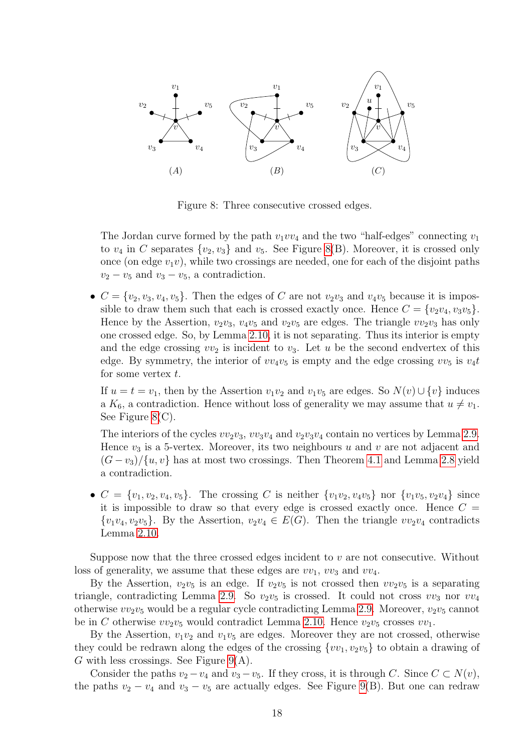

<span id="page-17-0"></span>Figure 8: Three consecutive crossed edges.

The Jordan curve formed by the path  $v_1v_4$  and the two "half-edges" connecting  $v_1$ to  $v_4$  in C separates  $\{v_2, v_3\}$  and  $v_5$ . See Figure [8\(](#page-17-0)B). Moreover, it is crossed only once (on edge  $v_1v$ ), while two crossings are needed, one for each of the disjoint paths  $v_2 - v_5$  and  $v_3 - v_5$ , a contradiction.

•  $C = \{v_2, v_3, v_4, v_5\}$ . Then the edges of C are not  $v_2v_3$  and  $v_4v_5$  because it is impossible to draw them such that each is crossed exactly once. Hence  $C = \{v_2v_4, v_3v_5\}$ . Hence by the Assertion,  $v_2v_3$ ,  $v_4v_5$  and  $v_2v_5$  are edges. The triangle  $vv_2v_3$  has only one crossed edge. So, by Lemma [2.10,](#page-4-3) it is not separating. Thus its interior is empty and the edge crossing  $vv_2$  is incident to  $v_3$ . Let u be the second endvertex of this edge. By symmetry, the interior of  $vv_4v_5$  is empty and the edge crossing  $vv_5$  is  $v_4t$ for some vertex  $t$ .

If  $u = t = v_1$ , then by the Assertion  $v_1v_2$  and  $v_1v_5$  are edges. So  $N(v) \cup \{v\}$  induces a  $K_6$ , a contradiction. Hence without loss of generality we may assume that  $u \neq v_1$ . See Figure [8\(](#page-17-0)C).

The interiors of the cycles  $vv_2v_3$ ,  $vv_3v_4$  and  $v_2v_3v_4$  contain no vertices by Lemma [2.9.](#page-4-0) Hence  $v_3$  is a 5-vertex. Moreover, its two neighbours u and v are not adjacent and  $(G - v_3)/\{u, v\}$  has at most two crossings. Then Theorem [4.1](#page-7-0) and Lemma [2.8](#page-4-2) yield a contradiction.

•  $C = \{v_1, v_2, v_4, v_5\}$ . The crossing C is neither  $\{v_1v_2, v_4v_5\}$  nor  $\{v_1v_5, v_2v_4\}$  since it is impossible to draw so that every edge is crossed exactly once. Hence  $C =$  $\{v_1v_4, v_2v_5\}$ . By the Assertion,  $v_2v_4 \in E(G)$ . Then the triangle  $vv_2v_4$  contradicts Lemma [2.10.](#page-4-3)

Suppose now that the three crossed edges incident to  $v$  are not consecutive. Without loss of generality, we assume that these edges are  $vv_1$ ,  $vv_3$  and  $vv_4$ .

By the Assertion,  $v_2v_5$  is an edge. If  $v_2v_5$  is not crossed then  $vv_2v_5$  is a separating triangle, contradicting Lemma [2.9.](#page-4-0) So  $v_2v_5$  is crossed. It could not cross  $vv_3$  nor  $vv_4$ otherwise  $vv_2v_5$  would be a regular cycle contradicting Lemma [2.9.](#page-4-0) Moreover,  $v_2v_5$  cannot be in C otherwise  $vv_2v_5$  would contradict Lemma [2.10.](#page-4-3) Hence  $v_2v_5$  crosses  $vv_1$ .

By the Assertion,  $v_1v_2$  and  $v_1v_5$  are edges. Moreover they are not crossed, otherwise they could be redrawn along the edges of the crossing  $\{vv_1, v_2v_5\}$  to obtain a drawing of G with less crossings. See Figure  $9(A)$ .

Consider the paths  $v_2 - v_4$  and  $v_3 - v_5$ . If they cross, it is through C. Since  $C \subset N(v)$ , the paths  $v_2 - v_4$  and  $v_3 - v_5$  are actually edges. See Figure [9\(](#page-18-0)B). But one can redraw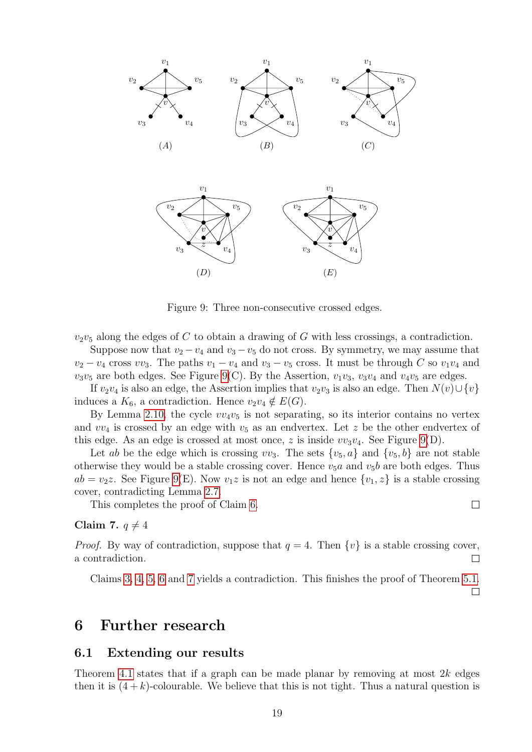

<span id="page-18-0"></span>Figure 9: Three non-consecutive crossed edges.

 $v_2v_5$  along the edges of C to obtain a drawing of G with less crossings, a contradiction.

Suppose now that  $v_2 - v_4$  and  $v_3 - v_5$  do not cross. By symmetry, we may assume that  $v_2 - v_4$  cross  $vv_3$ . The paths  $v_1 - v_4$  and  $v_3 - v_5$  cross. It must be through C so  $v_1v_4$  and  $v_3v_5$  are both edges. See Figure [9\(](#page-18-0)C). By the Assertion,  $v_1v_3$ ,  $v_3v_4$  and  $v_4v_5$  are edges.

If  $v_2v_4$  is also an edge, the Assertion implies that  $v_2v_3$  is also an edge. Then  $N(v) \cup \{v\}$ induces a  $K_6$ , a contradiction. Hence  $v_2v_4 \notin E(G)$ .

By Lemma [2.10,](#page-4-3) the cycle  $vv_4v_5$  is not separating, so its interior contains no vertex and  $vv_4$  is crossed by an edge with  $v_5$  as an endvertex. Let z be the other endvertex of this edge. As an edge is crossed at most once, z is inside  $vv_3v_4$ . See Figure [9\(](#page-18-0)D).

Let ab be the edge which is crossing  $vv_3$ . The sets  $\{v_5, a\}$  and  $\{v_5, b\}$  are not stable otherwise they would be a stable crossing cover. Hence  $v_5a$  and  $v_5b$  are both edges. Thus  $ab = v_2z$ . See Figure [9\(](#page-18-0)E). Now  $v_1z$  is not an edge and hence  $\{v_1, z\}$  is a stable crossing cover, contradicting Lemma [2.7.](#page-4-1)

This completes the proof of Claim [6.](#page-16-0)

### <span id="page-18-1"></span>Claim 7.  $q \neq 4$

*Proof.* By way of contradiction, suppose that  $q = 4$ . Then  $\{v\}$  is a stable crossing cover, a contradiction.  $\Box$ 

Claims [3,](#page-12-2) [4,](#page-12-1) [5,](#page-13-1) [6](#page-16-0) and [7](#page-18-1) yields a contradiction. This finishes the proof of Theorem [5.1.](#page-12-0)  $\Box$ 

## 6 Further research

#### 6.1 Extending our results

Theorem [4.1](#page-7-0) states that if a graph can be made planar by removing at most  $2k$  edges then it is  $(4 + k)$ -colourable. We believe that this is not tight. Thus a natural question is

 $\Box$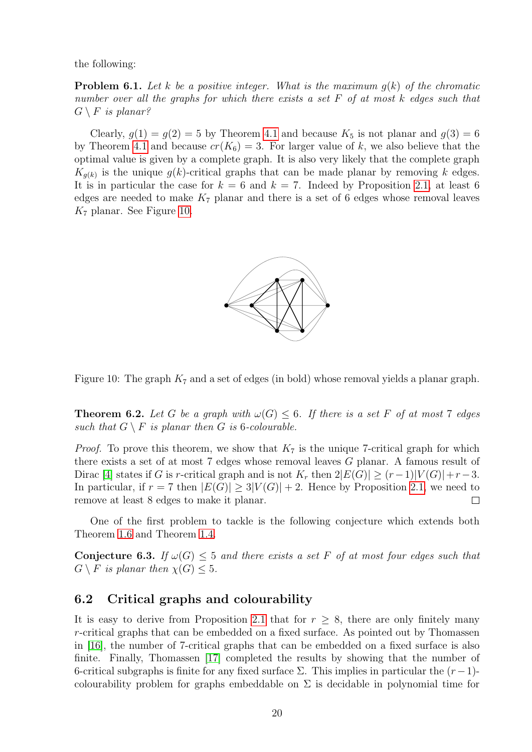the following:

**Problem 6.1.** Let k be a positive integer. What is the maximum  $q(k)$  of the chromatic number over all the graphs for which there exists a set F of at most k edges such that  $G \setminus F$  is planar?

Clearly,  $g(1) = g(2) = 5$  by Theorem [4.1](#page-7-0) and because  $K_5$  is not planar and  $g(3) = 6$ by Theorem [4.1](#page-7-0) and because  $cr(K_6) = 3$ . For larger value of k, we also believe that the optimal value is given by a complete graph. It is also very likely that the complete graph  $K_{g(k)}$  is the unique  $g(k)$ -critical graphs that can be made planar by removing k edges. It is in particular the case for  $k = 6$  and  $k = 7$ . Indeed by Proposition [2.1,](#page-2-0) at least 6 edges are needed to make  $K_7$  planar and there is a set of 6 edges whose removal leaves  $K_7$  planar. See Figure [10.](#page-19-0)



<span id="page-19-0"></span>Figure 10: The graph  $K_7$  and a set of edges (in bold) whose removal yields a planar graph.

**Theorem 6.2.** Let G be a graph with  $\omega(G) \leq 6$ . If there is a set F of at most 7 edges such that  $G \setminus F$  is planar then G is 6-colourable.

*Proof.* To prove this theorem, we show that  $K_7$  is the unique 7-critical graph for which there exists a set of at most 7 edges whose removal leaves G planar. A famous result of Dirac [\[4\]](#page-23-6) states if G is r-critical graph and is not  $K_r$  then  $2|E(G)| \ge (r-1)|V(G)|+r-3$ . In particular, if  $r = 7$  then  $|E(G)| \geq 3|V(G)| + 2$ . Hence by Proposition [2.1,](#page-2-0) we need to remove at least 8 edges to make it planar.  $\Box$ 

One of the first problem to tackle is the following conjecture which extends both Theorem [1.6](#page-1-2) and Theorem [1.4.](#page-1-0)

**Conjecture 6.3.** If  $\omega(G) \leq 5$  and there exists a set F of at most four edges such that  $G \setminus F$  is planar then  $\chi(G) \leq 5$ .

### 6.2 Critical graphs and colourability

It is easy to derive from Proposition [2.1](#page-2-0) that for  $r \geq 8$ , there are only finitely many r-critical graphs that can be embedded on a fixed surface. As pointed out by Thomassen in [\[16\]](#page-23-3), the number of 7-critical graphs that can be embedded on a fixed surface is also finite. Finally, Thomassen [\[17\]](#page-23-7) completed the results by showing that the number of 6-critical subgraphs is finite for any fixed surface  $\Sigma$ . This implies in particular the  $(r-1)$ colourability problem for graphs embeddable on  $\Sigma$  is decidable in polynomial time for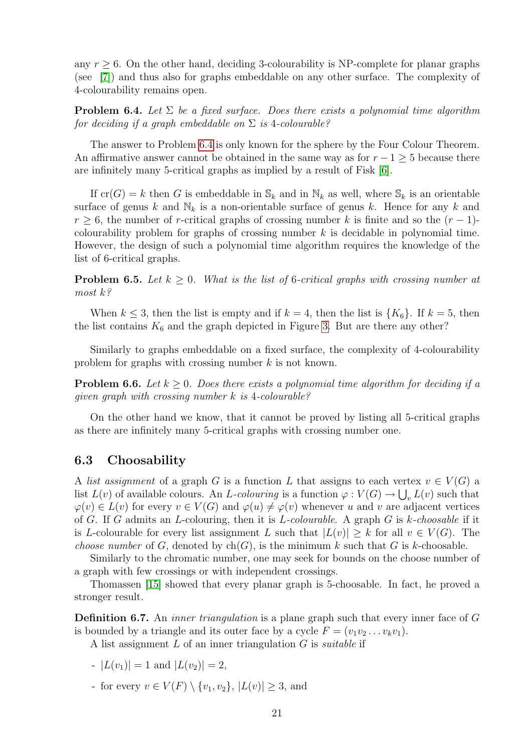any  $r \geq 6$ . On the other hand, deciding 3-colourability is NP-complete for planar graphs (see [\[7\]](#page-23-8)) and thus also for graphs embeddable on any other surface. The complexity of 4-colourability remains open.

<span id="page-20-0"></span>**Problem 6.4.** Let  $\Sigma$  be a fixed surface. Does there exists a polynomial time algorithm for deciding if a graph embeddable on  $\Sigma$  is 4-colourable?

The answer to Problem [6.4](#page-20-0) is only known for the sphere by the Four Colour Theorem. An affirmative answer cannot be obtained in the same way as for  $r - 1 > 5$  because there are infinitely many 5-critical graphs as implied by a result of Fisk [\[6\]](#page-23-9).

If  $cr(G) = k$  then G is embeddable in  $\mathcal{S}_k$  and in  $\mathcal{N}_k$  as well, where  $\mathcal{S}_k$  is an orientable surface of genus k and  $\mathbb{N}_k$  is a non-orientable surface of genus k. Hence for any k and  $r > 6$ , the number of r-critical graphs of crossing number k is finite and so the  $(r - 1)$ colourability problem for graphs of crossing number  $k$  is decidable in polynomial time. However, the design of such a polynomial time algorithm requires the knowledge of the list of 6-critical graphs.

**Problem 6.5.** Let  $k \geq 0$ . What is the list of 6-critical graphs with crossing number at most k?

When  $k \leq 3$ , then the list is empty and if  $k = 4$ , then the list is  $\{K_6\}$ . If  $k = 5$ , then the list contains  $K_6$  and the graph depicted in Figure [3.](#page-7-1) But are there any other?

Similarly to graphs embeddable on a fixed surface, the complexity of 4-colourability problem for graphs with crossing number k is not known.

**Problem 6.6.** Let  $k \geq 0$ . Does there exists a polynomial time algorithm for deciding if a qiven qraph with crossing number  $k$  is 4-colourable?

On the other hand we know, that it cannot be proved by listing all 5-critical graphs as there are infinitely many 5-critical graphs with crossing number one.

### 6.3 Choosability

A list assignment of a graph G is a function L that assigns to each vertex  $v \in V(G)$  a list  $L(v)$  of available colours. An L-colouring is a function  $\varphi: V(G) \to \bigcup_{v} L(v)$  such that  $\varphi(v) \in L(v)$  for every  $v \in V(G)$  and  $\varphi(u) \neq \varphi(v)$  whenever u and v are adjacent vertices of G. If G admits an L-colouring, then it is L-colourable. A graph  $G$  is  $k$ -choosable if it is L-colourable for every list assignment L such that  $|L(v)| \geq k$  for all  $v \in V(G)$ . The *choose number* of G, denoted by  $ch(G)$ , is the minimum k such that G is k-choosable.

Similarly to the chromatic number, one may seek for bounds on the choose number of a graph with few crossings or with independent crossings.

Thomassen [\[15\]](#page-23-10) showed that every planar graph is 5-choosable. In fact, he proved a stronger result.

**Definition 6.7.** An *inner triangulation* is a plane graph such that every inner face of G is bounded by a triangle and its outer face by a cycle  $F = (v_1v_2 \dots v_kv_1)$ .

A list assignment  $L$  of an inner triangulation  $G$  is *suitable* if

- $|L(v_1)| = 1$  and  $|L(v_2)| = 2$ ,
- for every  $v \in V(F) \setminus \{v_1, v_2\}, |L(v)| \geq 3$ , and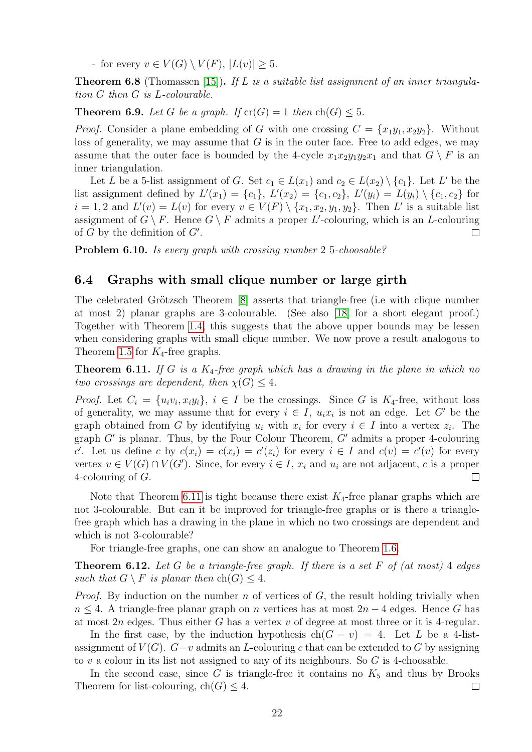- for every  $v \in V(G) \setminus V(F)$ ,  $|L(v)| \geq 5$ .

**Theorem 6.8** (Thomassen [\[15\]](#page-23-10)). If L is a suitable list assignment of an inner triangulation G then G is L-colourable.

**Theorem 6.9.** Let G be a graph. If  $cr(G) = 1$  then  $ch(G) \leq 5$ .

*Proof.* Consider a plane embedding of G with one crossing  $C = \{x_1y_1, x_2y_2\}$ . Without loss of generality, we may assume that  $G$  is in the outer face. Free to add edges, we may assume that the outer face is bounded by the 4-cycle  $x_1x_2y_1y_2x_1$  and that  $G \setminus F$  is an inner triangulation.

Let L be a 5-list assignment of G. Set  $c_1 \in L(x_1)$  and  $c_2 \in L(x_2) \setminus \{c_1\}$ . Let L' be the list assignment defined by  $L'(x_1) = \{c_1\}, L'(x_2) = \{c_1, c_2\}, L'(y_i) = L(y_i) \setminus \{c_1, c_2\}$  for  $i = 1, 2$  and  $L'(v) = L(v)$  for every  $v \in V(F) \setminus \{x_1, x_2, y_1, y_2\}$ . Then L' is a suitable list assignment of  $G \setminus F$ . Hence  $G \setminus F$  admits a proper L'-colouring, which is an L-colouring of  $G$  by the definition of  $G'$ . П

Problem 6.10. Is every graph with crossing number 2 5-choosable?

### 6.4 Graphs with small clique number or large girth

The celebrated Grötzsch Theorem [\[8\]](#page-23-11) asserts that triangle-free (i.e with clique number at most 2) planar graphs are 3-colourable. (See also [\[18\]](#page-23-12) for a short elegant proof.) Together with Theorem [1.4,](#page-1-0) this suggests that the above upper bounds may be lessen when considering graphs with small clique number. We now prove a result analogous to Theorem [1.5](#page-1-4) for  $K_4$ -free graphs.

<span id="page-21-0"></span>**Theorem 6.11.** If G is a  $K_4$ -free graph which has a drawing in the plane in which no two crossings are dependent, then  $\chi(G) \leq 4$ .

*Proof.* Let  $C_i = \{u_i v_i, x_i y_i\}, i \in I$  be the crossings. Since G is  $K_4$ -free, without loss of generality, we may assume that for every  $i \in I$ ,  $u_i x_i$  is not an edge. Let G' be the graph obtained from G by identifying  $u_i$  with  $x_i$  for every  $i \in I$  into a vertex  $z_i$ . The graph  $G'$  is planar. Thus, by the Four Colour Theorem,  $G'$  admits a proper 4-colouring c'. Let us define c by  $c(x_i) = c(x_i) = c'(z_i)$  for every  $i \in I$  and  $c(v) = c'(v)$  for every vertex  $v \in V(G) \cap V(G')$ . Since, for every  $i \in I$ ,  $x_i$  and  $u_i$  are not adjacent, c is a proper 4-colouring of G.  $\Box$ 

Note that Theorem [6.11](#page-21-0) is tight because there exist  $K_4$ -free planar graphs which are not 3-colourable. But can it be improved for triangle-free graphs or is there a trianglefree graph which has a drawing in the plane in which no two crossings are dependent and which is not 3-colourable?

For triangle-free graphs, one can show an analogue to Theorem [1.6.](#page-1-2)

**Theorem 6.12.** Let G be a triangle-free graph. If there is a set F of (at most) 4 edges such that  $G \setminus F$  is planar then  $ch(G) \leq 4$ .

*Proof.* By induction on the number  $n$  of vertices of  $G$ , the result holding trivially when  $n \leq 4$ . A triangle-free planar graph on n vertices has at most  $2n-4$  edges. Hence G has at most  $2n$  edges. Thus either G has a vertex v of degree at most three or it is 4-regular.

In the first case, by the induction hypothesis  $ch(G - v) = 4$ . Let L be a 4-listassignment of  $V(G)$ .  $G-v$  admits an L-colouring c that can be extended to G by assigning to v a colour in its list not assigned to any of its neighbours. So  $G$  is 4-choosable.

In the second case, since  $G$  is triangle-free it contains no  $K_5$  and thus by Brooks Theorem for list-colouring,  $ch(G) \leq 4$ .  $\Box$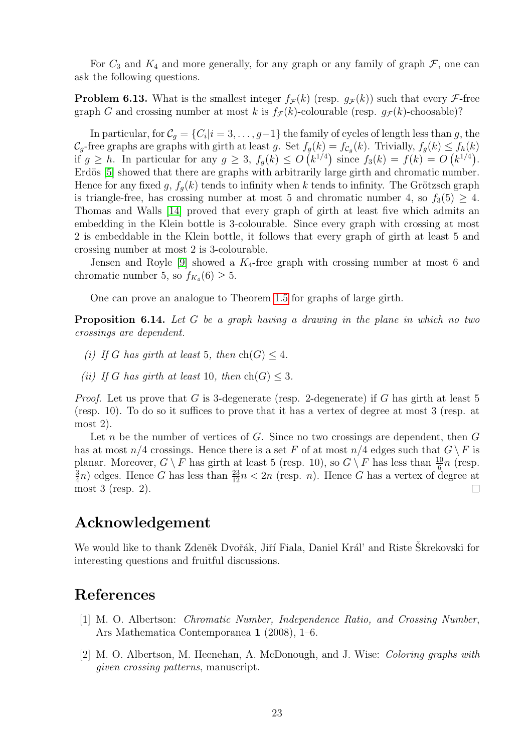For  $C_3$  and  $K_4$  and more generally, for any graph or any family of graph  $\mathcal{F}$ , one can ask the following questions.

**Problem 6.13.** What is the smallest integer  $f_{\mathcal{F}}(k)$  (resp.  $g_{\mathcal{F}}(k)$ ) such that every  $\mathcal{F}$ -free graph G and crossing number at most k is  $f_{\mathcal{F}}(k)$ -colourable (resp.  $g_{\mathcal{F}}(k)$ -choosable)?

In particular, for  $\mathcal{C}_g = \{C_i | i = 3, \ldots, g-1\}$  the family of cycles of length less than g, the  $\mathcal{C}_g$ -free graphs are graphs with girth at least g. Set  $f_g(k) = f_{\mathcal{C}_g}(k)$ . Trivially,  $f_g(k) \le f_h(k)$ if  $g \ge h$ . In particular for any  $g \ge 3$ ,  $f_g(k) \le O(k^{1/4})$  since  $f_3(k) = f(k) = O(k^{1/4})$ . Erdös [\[5\]](#page-23-13) showed that there are graphs with arbitrarily large girth and chromatic number. Hence for any fixed g,  $f_g(k)$  tends to infinity when k tends to infinity. The Grötzsch graph is triangle-free, has crossing number at most 5 and chromatic number 4, so  $f_3(5) \geq 4$ . Thomas and Walls [\[14\]](#page-23-14) proved that every graph of girth at least five which admits an embedding in the Klein bottle is 3-colourable. Since every graph with crossing at most 2 is embeddable in the Klein bottle, it follows that every graph of girth at least 5 and crossing number at most 2 is 3-colourable.

Jensen and Royle [\[9\]](#page-23-15) showed a  $K_4$ -free graph with crossing number at most 6 and chromatic number 5, so  $f_{K_4}(6) \geq 5$ .

One can prove an analogue to Theorem [1.5](#page-1-4) for graphs of large girth.

**Proposition 6.14.** Let G be a graph having a drawing in the plane in which no two crossings are dependent.

- (i) If G has girth at least 5, then  $ch(G) \leq 4$ .
- (ii) If G has girth at least 10, then  $ch(G) \leq 3$ .

*Proof.* Let us prove that G is 3-degenerate (resp. 2-degenerate) if G has girth at least 5 (resp. 10). To do so it suffices to prove that it has a vertex of degree at most 3 (resp. at most 2).

Let n be the number of vertices of G. Since no two crossings are dependent, then  $G$ has at most  $n/4$  crossings. Hence there is a set F of at most  $n/4$  edges such that  $G \backslash F$  is planar. Moreover,  $G \setminus F$  has girth at least 5 (resp. 10), so  $G \setminus F$  has less than  $\frac{10}{6}n$  (resp. 3  $\frac{3}{4}n$ ) edges. Hence G has less than  $\frac{23}{12}n < 2n$  (resp. n). Hence G has a vertex of degree at most 3 (resp. 2).  $\Box$ 

## Acknowledgement

We would like to thank Zdeněk Dvořák, Jiří Fiala, Daniel Král' and Riste Skrekovski for interesting questions and fruitful discussions.

## References

- <span id="page-22-0"></span>[1] M. O. Albertson: Chromatic Number, Independence Ratio, and Crossing Number, Ars Mathematica Contemporanea 1 (2008), 1–6.
- <span id="page-22-1"></span>[2] M. O. Albertson, M. Heenehan, A. McDonough, and J. Wise: Coloring graphs with given crossing patterns, manuscript.